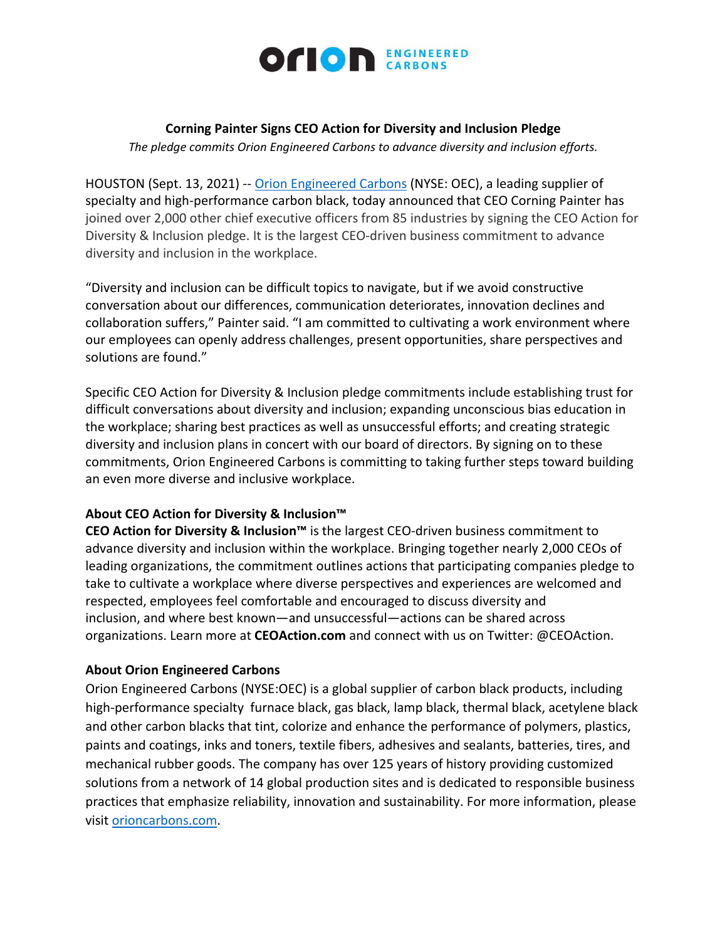

# **Corning Painter Signs CEO Action for Diversity and Inclusion Pledge**

*The pledge commits Orion Engineered Carbons to advance diversity and inclusion efforts.*

HOUSTON (Sept. 13, 2021) -- [Orion Engineered Carbons](https://investor.orioncarbons.com/home/default.aspx) (NYSE: OEC), a leading supplier of specialty and high-performance carbon black, today announced that CEO Corning Painter has joined over 2,000 other chief executive officers from 85 industries by signing the CEO Action for Diversity & Inclusion pledge. It is the largest CEO-driven business commitment to advance diversity and inclusion in the workplace.

"Diversity and inclusion can be difficult topics to navigate, but if we avoid constructive conversation about our differences, communication deteriorates, innovation declines and collaboration suffers," Painter said. "I am committed to cultivating a work environment where our employees can openly address challenges, present opportunities, share perspectives and solutions are found."

Specific CEO Action for Diversity & Inclusion pledge commitments include establishing trust for difficult conversations about diversity and inclusion; expanding unconscious bias education in the workplace; sharing best practices as well as unsuccessful efforts; and creating strategic diversity and inclusion plans in concert with our board of directors. By signing on to these commitments, Orion Engineered Carbons is committing to taking further steps toward building an even more diverse and inclusive workplace.

# **About CEO Action for Diversity & Inclusion™**

**CEO Action for Diversity & Inclusion™** is the largest CEO-driven business commitment to advance diversity and inclusion within the workplace. Bringing together nearly 2,000 CEOs of leading organizations, the commitment outlines actions that participating companies pledge to take to cultivate a workplace where diverse perspectives and experiences are welcomed and respected, employees feel comfortable and encouraged to discuss diversity and inclusion, and where best known—and unsuccessful—actions can be shared across organizations. Learn more at **CEOAction.com** and connect with us on Twitter: @CEOAction.

# **About Orion Engineered Carbons**

Orion Engineered Carbons (NYSE:OEC) is a global supplier of carbon black products, including high-performance specialty furnace black, gas black, lamp black, thermal black, acetylene black and other carbon blacks that tint, colorize and enhance the performance of polymers, plastics, paints and coatings, inks and toners, textile fibers, adhesives and sealants, batteries, tires, and mechanical rubber goods. The company has over 125 years of history providing customized solutions from a network of 14 global production sites and is dedicated to responsible business practices that emphasize reliability, innovation and sustainability. For more information, please visit [orioncarbons.com.](https://www.orioncarbons.com/index_en.php)